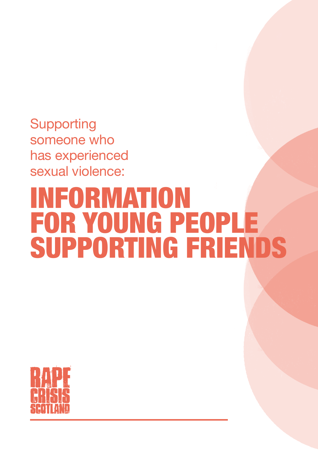**Supporting** someone who has experienced sexual violence:

# INFORMATION FOR YOUNG PEOPLE SUPPORTING FRIENDS

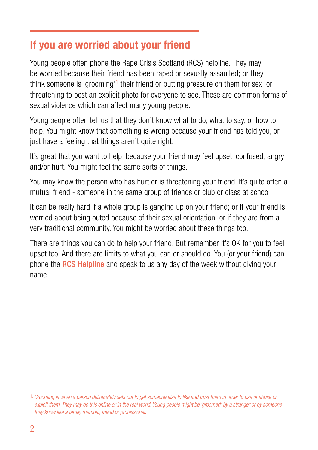### If you are worried about your friend

Young people often phone the Rape Crisis Scotland (RCS) helpline. They may be worried because their friend has been raped or sexually assaulted; or they think someone is 'grooming'<sup>1</sup> their friend or putting pressure on them for sex; or threatening to post an explicit photo for everyone to see. These are common forms of sexual violence which can affect many young people.

Young people often tell us that they don't know what to do, what to say, or how to help. You might know that something is wrong because your friend has told you, or just have a feeling that things aren't quite right.

It's great that you want to help, because your friend may feel upset, confused, angry and/or hurt. You might feel the same sorts of things.

You may know the person who has hurt or is threatening your friend. It's quite often a mutual friend - someone in the same group of friends or club or class at school.

It can be really hard if a whole group is ganging up on your friend; or if your friend is worried about being outed because of their sexual orientation; or if they are from a very traditional community. You might be worried about these things too.

There are things you can do to help your friend. But remember it's OK for you to feel upset too. And there are limits to what you can or should do. You (or your friend) can phone the **RCS Helpline** and speak to us any day of the week without giving your name.

<sup>1.</sup> *Grooming is when a person deliberately sets out to get someone else to like and trust them in order to use or abuse or exploit them. They may do this online or in the real world. Young people might be 'groomed' by a stranger or by someone they know like a family member, friend or professional.*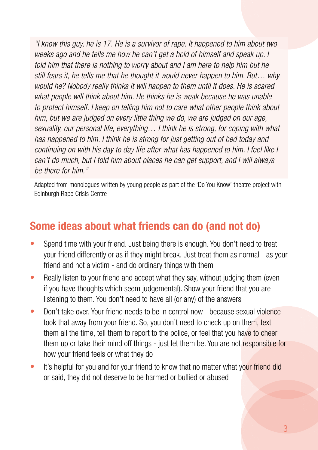*"I know this guy, he is 17. He is a survivor of rape. It happened to him about two weeks ago and he tells me how he can't get a hold of himself and speak up. I told him that there is nothing to worry about and I am here to help him but he still fears it, he tells me that he thought it would never happen to him. But… why would he? Nobody really thinks it will happen to them until it does. He is scared what people will think about him. He thinks he is weak because he was unable to protect himself. I keep on telling him not to care what other people think about him, but we are judged on every little thing we do, we are judged on our age, sexuality, our personal life, everything… I think he is strong, for coping with what has happened to him. I think he is strong for just getting out of bed today and continuing on with his day to day life after what has happened to him. I feel like I can't do much, but I told him about places he can get support, and I will always be there for him."*

Adapted from monologues written by young people as part of the 'Do You Know' theatre project with Edinburgh Rape Crisis Centre

## Some ideas about what friends can do (and not do)

- Spend time with your friend. Just being there is enough. You don't need to treat your friend differently or as if they might break. Just treat them as normal - as your friend and not a victim - and do ordinary things with them
- Really listen to your friend and accept what they say, without judging them (even if you have thoughts which seem judgemental). Show your friend that you are listening to them. You don't need to have all (or any) of the answers
- Don't take over. Your friend needs to be in control now because sexual violence took that away from your friend. So, you don't need to check up on them, text them all the time, tell them to report to the police, or feel that you have to cheer them up or take their mind off things - just let them be. You are not responsible for how your friend feels or what they do
- It's helpful for you and for your friend to know that no matter what your friend did or said, they did not deserve to be harmed or bullied or abused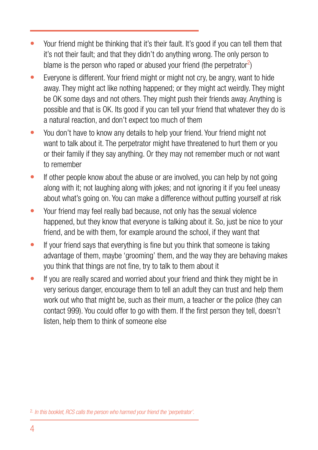- Your friend might be thinking that it's their fault. It's good if you can tell them that it's not their fault; and that they didn't do anything wrong. The only person to blame is the person who raped or abused your friend (the perpetrator<sup>2</sup>)
- Everyone is different. Your friend might or might not cry, be angry, want to hide away. They might act like nothing happened; or they might act weirdly. They might be OK some days and not others. They might push their friends away. Anything is possible and that is OK. Its good if you can tell your friend that whatever they do is a natural reaction, and don't expect too much of them
- You don't have to know any details to help your friend. Your friend might not want to talk about it. The perpetrator might have threatened to hurt them or you or their family if they say anything. Or they may not remember much or not want to remember
- If other people know about the abuse or are involved, you can help by not going along with it; not laughing along with jokes; and not ignoring it if you feel uneasy about what's going on. You can make a difference without putting yourself at risk
- Your friend may feel really bad because, not only has the sexual violence happened, but they know that everyone is talking about it. So, just be nice to your friend, and be with them, for example around the school, if they want that
- If your friend says that everything is fine but you think that someone is taking advantage of them, maybe 'grooming' them, and the way they are behaving makes you think that things are not fine, try to talk to them about it
- If you are really scared and worried about your friend and think they might be in very serious danger, encourage them to tell an adult they can trust and help them work out who that might be, such as their mum, a teacher or the police (they can contact 999). You could offer to go with them. If the first person they tell, doesn't listen, help them to think of someone else

<sup>2.</sup> *In this booklet, RCS calls the person who harmed your friend the 'perpetrator'.*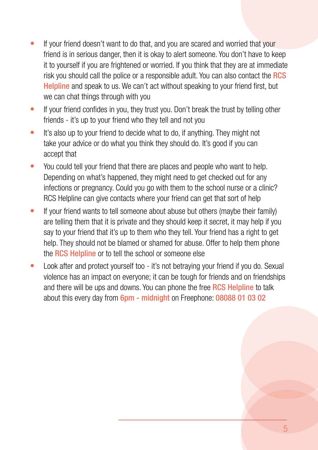- If your friend doesn't want to do that, and you are scared and worried that your friend is in serious danger, then it is okay to alert someone. You don't have to keep it to yourself if you are frightened or worried. If you think that they are at immediate risk you should call the police or a responsible adult. You can also contact the RCS Helpline and speak to us. We can't act without speaking to your friend first, but we can chat things through with you
- If your friend confides in you, they trust you. Don't break the trust by telling other friends - it's up to your friend who they tell and not you
- It's also up to your friend to decide what to do, if anything. They might not take your advice or do what you think they should do. It's good if you can accept that
- You could tell your friend that there are places and people who want to help. Depending on what's happened, they might need to get checked out for any infections or pregnancy. Could you go with them to the school nurse or a clinic? RCS Helpline can give contacts where your friend can get that sort of help
- If your friend wants to tell someone about abuse but others (maybe their family) are telling them that it is private and they should keep it secret, it may help if you say to your friend that it's up to them who they tell. Your friend has a right to get help. They should not be blamed or shamed for abuse. Offer to help them phone the RCS Helpline or to tell the school or someone else
- Look after and protect yourself too it's not betraying your friend if you do. Sexual violence has an impact on everyone; it can be tough for friends and on friendships and there will be ups and downs. You can phone the free RCS Helpline to talk about this every day from 6pm - midnight on Freephone: 08088 01 03 02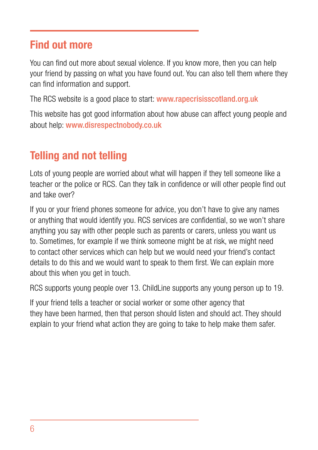### Find out more

You can find out more about sexual violence. If you know more, then you can help your friend by passing on what you have found out. You can also tell them where they can find information and support.

The RCS website is a good place to start: www.rapecrisisscotland.org.uk

This website has got good information about how abuse can affect young people and about help: www.disrespectnobody.co.uk

## Telling and not telling

Lots of young people are worried about what will happen if they tell someone like a teacher or the police or RCS. Can they talk in confidence or will other people find out and take over?

If you or your friend phones someone for advice, you don't have to give any names or anything that would identify you. RCS services are confidential, so we won't share anything you say with other people such as parents or carers, unless you want us to. Sometimes, for example if we think someone might be at risk, we might need to contact other services which can help but we would need your friend's contact details to do this and we would want to speak to them first. We can explain more about this when you get in touch.

RCS supports young people over 13. ChildLine supports any young person up to 19.

If your friend tells a teacher or social worker or some other agency that they have been harmed, then that person should listen and should act. They should explain to your friend what action they are going to take to help make them safer.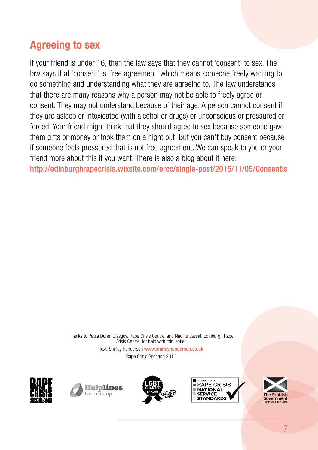## Agreeing to sex

If your friend is under 16, then the law says that they cannot 'consent' to sex. The law says that 'consent' is 'free agreement' which means someone freely wanting to do something and understanding what they are agreeing to. The law understands that there are many reasons why a person may not be able to freely agree or consent. They may not understand because of their age. A person cannot consent if they are asleep or intoxicated (with alcohol or drugs) or unconscious or pressured or forced. Your friend might think that they should agree to sex because someone gave them gifts or money or took them on a night out. But you can't buy consent because if someone feels pressured that is not free agreement. We can speak to you or your friend more about this if you want. There is also a blog about it here:

http://edinburghrapecrisis.wixsite.com/ercc/single-post/2015/11/05/ConsentIs

Thanks to Paula Dunn, Glasgow Rape Crisis Centre, and Nadine Jassat, Edinburgh Rape Crisis Centre, for help with this leaflet. Text: Shirley Henderson www.shirleyhenderson.co.uk Rape Crisis Scotland 2016